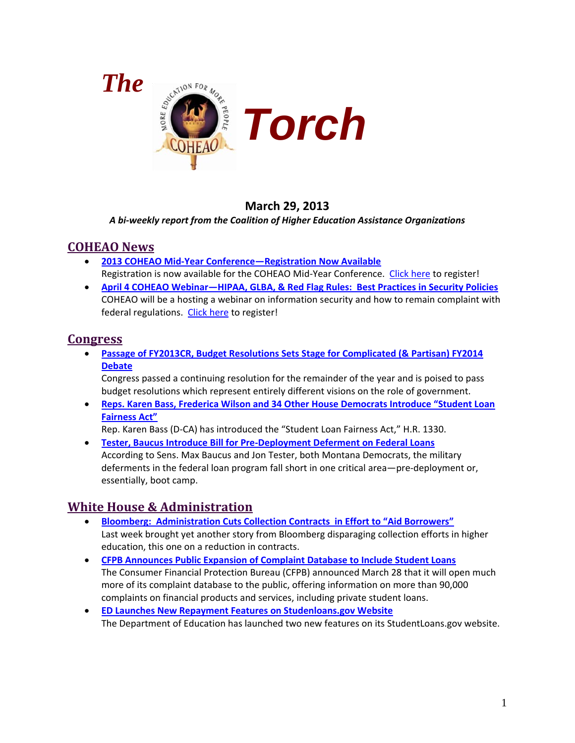

# **March 29, 2013**

#### *A bi-weekly report from the Coalition of Higher Education Assistance Organizations*

## <span id="page-0-0"></span>**COHEAO News**

- **[2013 COHEAO Mid-Year Conference—Registration Now Available](#page-2-0)** Registration is now available for the COHEAO Mid-Year Conference. [Click here](https://netforum.avectra.com/eweb/DynamicPage.aspx?Site=COHEAO&WebCode=EventReg&evt_key=8d1f656e-3118-4bc3-bfdd-ea52b8349806) to register!
- **[April 4 COHEAO Webinar—HIPAA, GLBA, & Red Flag Rules:](#page-2-1) Best Practices in Security Policies** COHEAO will be a hosting a webinar on information security and how to remain complaint with federal regulations. [Click here](https://netforum.avectra.com/eweb/DynamicPage.aspx?Site=COHEAO&WebCode=EventDetail&&evt_key=b659438b-7a59-4e46-be1c-b75c620f985c) to register!

# **Congress**

• **[Passage of FY2013CR, Budget Resolutions Sets](#page-3-0) Stage for Complicated (& Partisan) FY2014 [Debate](#page-3-0)**

Congress passed a continuing resolution for the remainder of the year and is poised to pass budget resolutions which represent entirely different visions on the role of government.

• **[Reps. Karen Bass, Frederica Wilson and 34 Other House Democrats Introduce "Student Loan](#page-4-0)  [Fairness Act"](#page-4-0)**

Rep. Karen Bass (D-CA) has introduced the "Student Loan Fairness Act," H.R. 1330.

• **[Tester, Baucus Introduce Bill for Pre-Deployment Deferment on Federal Loans](#page-5-0)** According to Sens. Max Baucus and Jon Tester, both Montana Democrats, the military deferments in the federal loan program fall short in one critical area—pre-deployment or, essentially, boot camp.

# **White House & Administration**

- **[Bloomberg: Administration Cuts Collection Contracts in Effort to "Aid Borrowers"](#page-6-0)** Last week brought yet another story from Bloomberg disparaging collection efforts in higher education, this one on a reduction in contracts.
- **[CFPB Announces Public Expansion of Complaint Database to Include Student Loans](#page-7-0)** The Consumer Financial Protection Bureau (CFPB) announced March 28 that it will open much more of its complaint database to the public, offering information on more than 90,000 complaints on financial products and services, including private student loans.
- **[ED Launches New Repayment Features on Studenloans.gov Website](#page-8-0)** The Department of Education has launched two new features on its StudentLoans.gov website.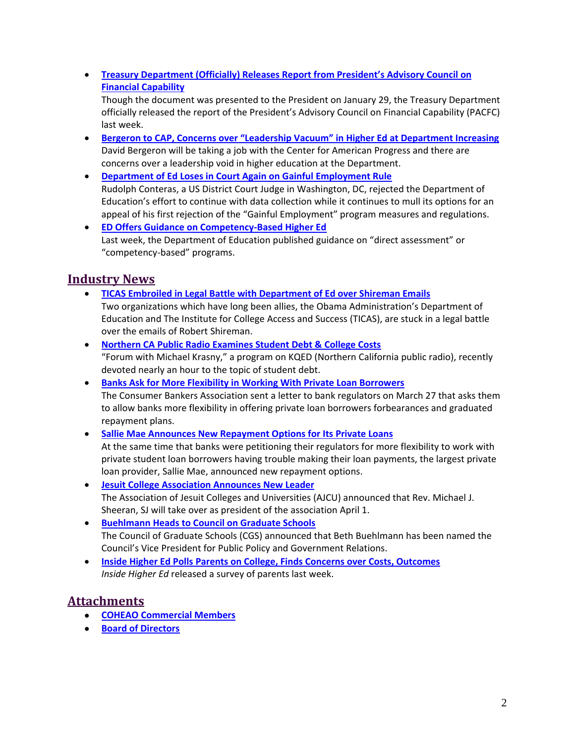• **[Treasury Department \(Officially\) Releases Report from President's Advisory Council on](#page-8-1)  [Financial Capability](#page-8-1)**

Though the document was presented to the President on January 29, the Treasury Department officially released the report of the President's Advisory Council on Financial Capability (PACFC) last week.

- **[Bergeron to CAP, Concerns over "Leadership Vacuum" in](#page-9-0) Higher Ed at Department Increasing** David Bergeron will be taking a job with the Center for American Progress and there are concerns over a leadership void in higher education at the Department.
- **[Department of Ed Loses in Court Again on Gainful Employment Rule](#page-10-0)** Rudolph Conteras, a US District Court Judge in Washington, DC, rejected the Department of Education's effort to continue with data collection while it continues to mull its options for an appeal of his first rejection of the "Gainful Employment" program measures and regulations.
- **[ED Offers Guidance on Competency-Based Higher Ed](#page-10-1)** Last week, the Department of Education published guidance on "direct assessment" or "competency-based" programs.

# **Industry News**

- **[TICAS Embroiled in Legal Battle with Department of Ed over Shireman Emails](#page-12-0)** Two organizations which have long been allies, the Obama Administration's Department of Education and The Institute for College Access and Success (TICAS), are stuck in a legal battle over the emails of Robert Shireman.
- **[Northern CA Public Radio Examines Student Debt & College Costs](#page-13-0)** "Forum with Michael Krasny," a program on KQED (Northern California public radio), recently devoted nearly an hour to the topic of student debt.
- **[Banks Ask for More Flexibility in Working With Private Loan Borrowers](#page-14-0)** The Consumer Bankers Association sent a letter to bank regulators on March 27 that asks them to allow banks more flexibility in offering private loan borrowers forbearances and graduated repayment plans.
- **Sallie Mae Announces [New Repayment Options for Its Private Loans](#page-15-0)** At the same time that banks were petitioning their regulators for more flexibility to work with private student loan borrowers having trouble making their loan payments, the largest private loan provider, Sallie Mae, announced new repayment options.
- **[Jesuit College Association Announces New Leader](#page-15-1)** The Association of Jesuit Colleges and Universities (AJCU) announced that Rev. Michael J. Sheeran, SJ will take over as president of the association April 1.
- **[Buehlmann Heads to Council on Graduate Schools](#page-16-0)** The Council of Graduate Schools (CGS) announced that Beth Buehlmann has been named the Council's Vice President for Public Policy and Government Relations.
- **[Inside Higher Ed Polls Parents on College, Finds Concerns over Costs, Outcomes](#page-16-1)** *Inside Higher Ed* released a survey of parents last week.

# **Attachments**

- **[COHEAO Commercial Members](#page-0-0)**
- <span id="page-1-0"></span>• **[Board of Directors](#page-1-0)**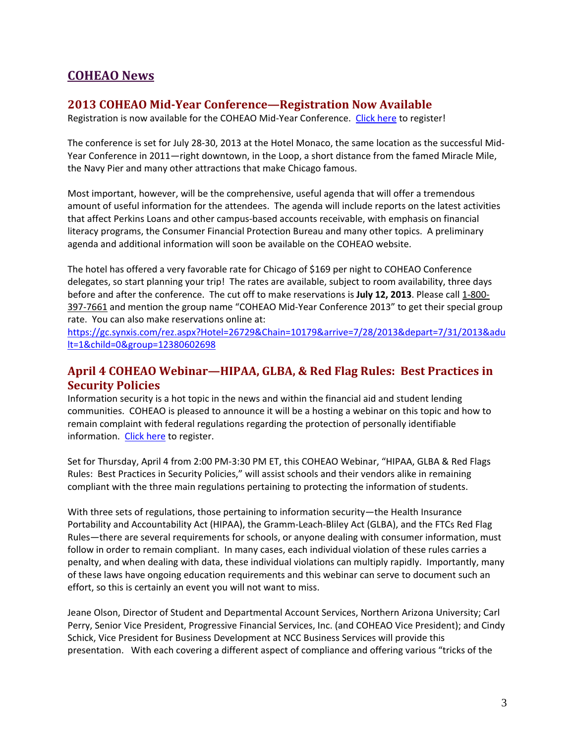# **COHEAO News**

### <span id="page-2-0"></span>**2013 COHEAO Mid-Year Conference—Registration Now Available**

Registration is now available for the COHEAO Mid-Year Conference. [Click here](https://netforum.avectra.com/eweb/DynamicPage.aspx?Site=COHEAO&WebCode=EventReg&evt_key=8d1f656e-3118-4bc3-bfdd-ea52b8349806) to register!

The conference is set for July 28-30, 2013 at the Hotel Monaco, the same location as the successful Mid-Year Conference in 2011—right downtown, in the Loop, a short distance from the famed Miracle Mile, the Navy Pier and many other attractions that make Chicago famous.

Most important, however, will be the comprehensive, useful agenda that will offer a tremendous amount of useful information for the attendees. The agenda will include reports on the latest activities that affect Perkins Loans and other campus-based accounts receivable, with emphasis on financial literacy programs, the Consumer Financial Protection Bureau and many other topics. A preliminary agenda and additional information will soon be available on the COHEAO website.

The hotel has offered a very favorable rate for Chicago of \$169 per night to COHEAO Conference delegates, so start planning your trip! The rates are available, subject to room availability, three days before and after the conference. The cut off to make reservations is **July 12, 2013**. Please call 1-800- 397-7661 and mention the group name "COHEAO Mid-Year Conference 2013" to get their special group rate. You can also make reservations online at:

[https://gc.synxis.com/rez.aspx?Hotel=26729&Chain=10179&arrive=7/28/2013&depart=7/31/2013&adu](http://mail.wpllc.net/exchweb/bin/redir.asp?URL=https://gc.synxis.com/rez.aspx?Hotel=26729%26Chain=10179%26arrive=7/28/2013%26depart=7/31/2013%26adult=1%26child=0%26group=12380602698) [lt=1&child=0&group=12380602698](http://mail.wpllc.net/exchweb/bin/redir.asp?URL=https://gc.synxis.com/rez.aspx?Hotel=26729%26Chain=10179%26arrive=7/28/2013%26depart=7/31/2013%26adult=1%26child=0%26group=12380602698)

## <span id="page-2-1"></span>**April 4 COHEAO Webinar—HIPAA, GLBA, & Red Flag Rules: Best Practices in Security Policies**

Information security is a hot topic in the news and within the financial aid and student lending communities. COHEAO is pleased to announce it will be a hosting a webinar on this topic and how to remain complaint with federal regulations regarding the protection of personally identifiable information. [Click here](https://netforum.avectra.com/eweb/DynamicPage.aspx?Site=COHEAO&WebCode=EventDetail&&evt_key=b659438b-7a59-4e46-be1c-b75c620f985c) to register.

Set for Thursday, April 4 from 2:00 PM-3:30 PM ET, this COHEAO Webinar, "HIPAA, GLBA & Red Flags Rules: Best Practices in Security Policies," will assist schools and their vendors alike in remaining compliant with the three main regulations pertaining to protecting the information of students.

With three sets of regulations, those pertaining to information security—the Health Insurance Portability and Accountability Act (HIPAA), the Gramm-Leach-Bliley Act (GLBA), and the FTCs Red Flag Rules—there are several requirements for schools, or anyone dealing with consumer information, must follow in order to remain compliant. In many cases, each individual violation of these rules carries a penalty, and when dealing with data, these individual violations can multiply rapidly. Importantly, many of these laws have ongoing education requirements and this webinar can serve to document such an effort, so this is certainly an event you will not want to miss.

Jeane Olson, Director of Student and Departmental Account Services, Northern Arizona University; Carl Perry, Senior Vice President, Progressive Financial Services, Inc. (and COHEAO Vice President); and Cindy Schick, Vice President for Business Development at NCC Business Services will provide this presentation. With each covering a different aspect of compliance and offering various "tricks of the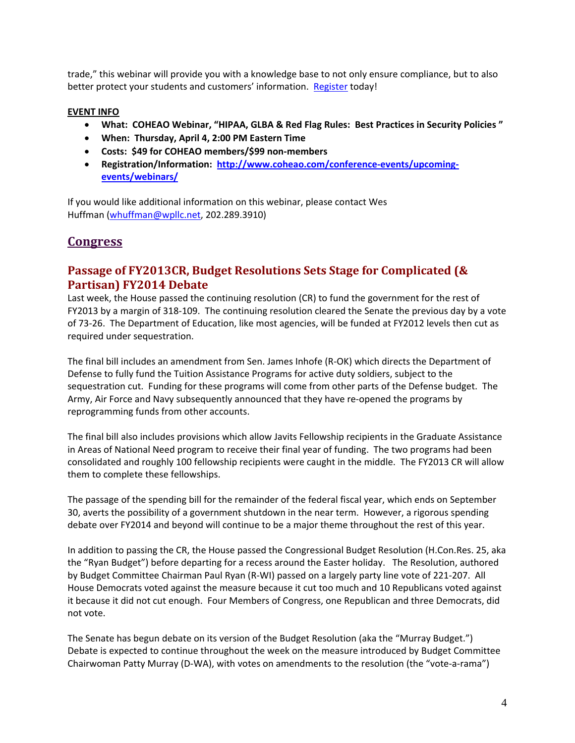trade," this webinar will provide you with a knowledge base to not only ensure compliance, but to also better protect your students and customers' information. [Register](https://netforum.avectra.com/eweb/DynamicPage.aspx?Site=COHEAO&WebCode=EventDetail&&evt_key=b659438b-7a59-4e46-be1c-b75c620f985c) today!

#### **EVENT INFO**

- **What: COHEAO Webinar, "HIPAA, GLBA & Red Flag Rules: Best Practices in Security Policies "**
- **When: Thursday, April 4, 2:00 PM Eastern Time**
- **Costs: \$49 for COHEAO members/\$99 non-members**
- **Registration/Information: [http://www.coheao.com/conference-events/upcoming](http://www.coheao.com/conference-events/upcoming-events/webinars/)[events/webinars/](http://www.coheao.com/conference-events/upcoming-events/webinars/)**

If you would like additional information on this webinar, please contact Wes Huffman [\(whuffman@wpllc.net,](mailto:whuffman@wpllc.net) 202.289.3910)

# **Congress**

## <span id="page-3-0"></span>**Passage of FY2013CR, Budget Resolutions Sets Stage for Complicated (& Partisan) FY2014 Debate**

Last week, the House passed the continuing resolution (CR) to fund the government for the rest of FY2013 by a margin of 318-109. The continuing resolution cleared the Senate the previous day by a vote of 73-26. The Department of Education, like most agencies, will be funded at FY2012 levels then cut as required under sequestration.

The final bill includes an amendment from Sen. James Inhofe (R-OK) which directs the Department of Defense to fully fund the Tuition Assistance Programs for active duty soldiers, subject to the sequestration cut. Funding for these programs will come from other parts of the Defense budget. The Army, Air Force and Navy subsequently announced that they have re-opened the programs by reprogramming funds from other accounts.

The final bill also includes provisions which allow Javits Fellowship recipients in the Graduate Assistance in Areas of National Need program to receive their final year of funding. The two programs had been consolidated and roughly 100 fellowship recipients were caught in the middle. The FY2013 CR will allow them to complete these fellowships.

The passage of the spending bill for the remainder of the federal fiscal year, which ends on September 30, averts the possibility of a government shutdown in the near term. However, a rigorous spending debate over FY2014 and beyond will continue to be a major theme throughout the rest of this year.

In addition to passing the CR, the House passed the Congressional Budget Resolution (H.Con.Res. 25, aka the "Ryan Budget") before departing for a recess around the Easter holiday. The Resolution, authored by Budget Committee Chairman Paul Ryan (R-WI) passed on a largely party line vote of 221-207. All House Democrats voted against the measure because it cut too much and 10 Republicans voted against it because it did not cut enough. Four Members of Congress, one Republican and three Democrats, did not vote.

The Senate has begun debate on its version of the Budget Resolution (aka the "Murray Budget.") Debate is expected to continue throughout the week on the measure introduced by Budget Committee Chairwoman Patty Murray (D-WA), with votes on amendments to the resolution (the "vote-a-rama")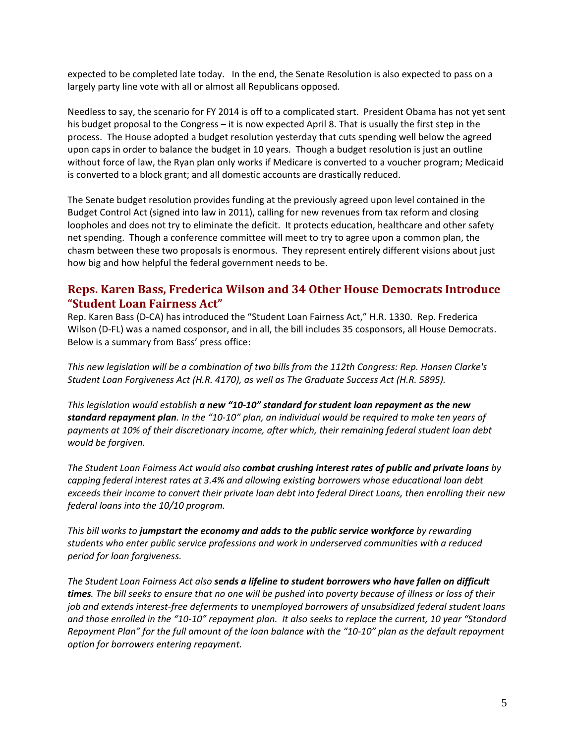expected to be completed late today. In the end, the Senate Resolution is also expected to pass on a largely party line vote with all or almost all Republicans opposed.

Needless to say, the scenario for FY 2014 is off to a complicated start. President Obama has not yet sent his budget proposal to the Congress – it is now expected April 8. That is usually the first step in the process. The House adopted a budget resolution yesterday that cuts spending well below the agreed upon caps in order to balance the budget in 10 years. Though a budget resolution is just an outline without force of law, the Ryan plan only works if Medicare is converted to a voucher program; Medicaid is converted to a block grant; and all domestic accounts are drastically reduced.

The Senate budget resolution provides funding at the previously agreed upon level contained in the Budget Control Act (signed into law in 2011), calling for new revenues from tax reform and closing loopholes and does not try to eliminate the deficit. It protects education, healthcare and other safety net spending. Though a conference committee will meet to try to agree upon a common plan, the chasm between these two proposals is enormous. They represent entirely different visions about just how big and how helpful the federal government needs to be.

### <span id="page-4-0"></span>**Reps. Karen Bass, Frederica Wilson and 34 Other House Democrats Introduce "Student Loan Fairness Act"**

Rep. Karen Bass (D-CA) has introduced the "Student Loan Fairness Act," H.R. 1330. Rep. Frederica Wilson (D-FL) was a named cosponsor, and in all, the bill includes 35 cosponsors, all House Democrats. Below is a summary from Bass' press office:

*This new legislation will be a combination of two bills from the 112th Congress: Rep. Hansen Clarke's Student Loan Forgiveness Act (H.R. 4170), as well as The Graduate Success Act (H.R. 5895).*

*This legislation would establish a new "10-10" standard for student loan repayment as the new standard repayment plan. In the "10-10" plan, an individual would be required to make ten years of payments at 10% of their discretionary income, after which, their remaining federal student loan debt would be forgiven.*

*The Student Loan Fairness Act would also combat crushing interest rates of public and private loans by capping federal interest rates at 3.4% and allowing existing borrowers whose educational loan debt exceeds their income to convert their private loan debt into federal Direct Loans, then enrolling their new federal loans into the 10/10 program.*

*This bill works to jumpstart the economy and adds to the public service workforce by rewarding students who enter public service professions and work in underserved communities with a reduced period for loan forgiveness.*

*The Student Loan Fairness Act also sends a lifeline to student borrowers who have fallen on difficult times. The bill seeks to ensure that no one will be pushed into poverty because of illness or loss of their job and extends interest-free deferments to unemployed borrowers of unsubsidized federal student loans and those enrolled in the "10-10" repayment plan. It also seeks to replace the current, 10 year "Standard Repayment Plan" for the full amount of the loan balance with the "10-10" plan as the default repayment option for borrowers entering repayment.*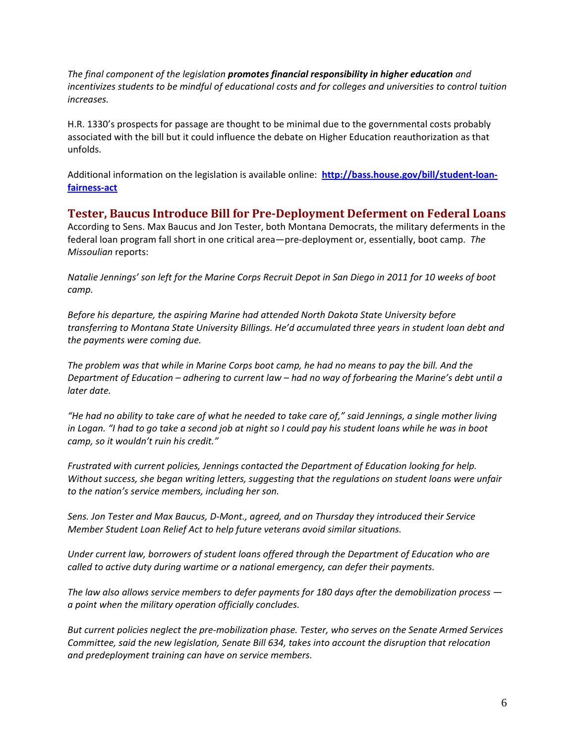*The final component of the legislation promotes financial responsibility in higher education and incentivizes students to be mindful of educational costs and for colleges and universities to control tuition increases.*

H.R. 1330's prospects for passage are thought to be minimal due to the governmental costs probably associated with the bill but it could influence the debate on Higher Education reauthorization as that unfolds.

Additional information on the legislation is available online: **[http://bass.house.gov/bill/student-loan](http://bass.house.gov/bill/student-loan-fairness-act)[fairness-act](http://bass.house.gov/bill/student-loan-fairness-act)**

<span id="page-5-0"></span>**Tester, Baucus Introduce Bill for Pre-Deployment Deferment on Federal Loans**  According to Sens. Max Baucus and Jon Tester, both Montana Democrats, the military deferments in the federal loan program fall short in one critical area—pre-deployment or, essentially, boot camp. *The Missoulian* reports:

*Natalie Jennings' son left for the Marine Corps Recruit Depot in San Diego in 2011 for 10 weeks of boot camp.*

*Before his departure, the aspiring Marine had attended North Dakota State University before transferring to Montana State University Billings. He'd accumulated three years in student loan debt and the payments were coming due.*

*The problem was that while in Marine Corps boot camp, he had no means to pay the bill. And the Department of Education – adhering to current law – had no way of forbearing the Marine's debt until a later date.*

*"He had no ability to take care of what he needed to take care of," said Jennings, a single mother living in Logan. "I had to go take a second job at night so I could pay his student loans while he was in boot camp, so it wouldn't ruin his credit."*

*Frustrated with current policies, Jennings contacted the Department of Education looking for help. Without success, she began writing letters, suggesting that the regulations on student loans were unfair to the nation's service members, including her son.*

*Sens. Jon Tester and Max Baucus, D-Mont., agreed, and on Thursday they introduced their Service Member Student Loan Relief Act to help future veterans avoid similar situations.*

*Under current law, borrowers of student loans offered through the Department of Education who are called to active duty during wartime or a national emergency, can defer their payments.*

*The law also allows service members to defer payments for 180 days after the demobilization process a point when the military operation officially concludes.*

*But current policies neglect the pre-mobilization phase. Tester, who serves on the Senate Armed Services Committee, said the new legislation, Senate Bill 634, takes into account the disruption that relocation and predeployment training can have on service members.*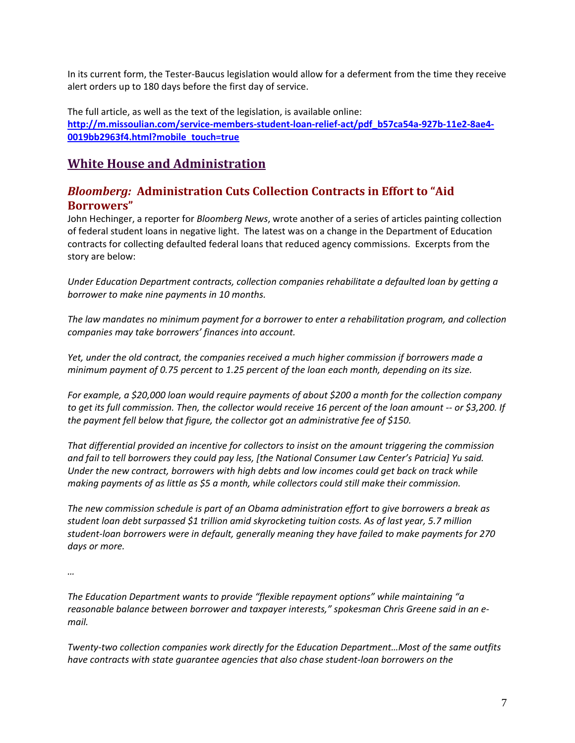In its current form, the Tester-Baucus legislation would allow for a deferment from the time they receive alert orders up to 180 days before the first day of service.

The full article, as well as the text of the legislation, is available online: **[http://m.missoulian.com/service-members-student-loan-relief-act/pdf\\_b57ca54a-927b-11e2-8ae4-](http://m.missoulian.com/service-members-student-loan-relief-act/pdf_b57ca54a-927b-11e2-8ae4-0019bb2963f4.html?mobile_touch=true) [0019bb2963f4.html?mobile\\_touch=true](http://m.missoulian.com/service-members-student-loan-relief-act/pdf_b57ca54a-927b-11e2-8ae4-0019bb2963f4.html?mobile_touch=true)**

# **White House and Administration**

## <span id="page-6-0"></span>*Bloomberg:* **Administration Cuts Collection Contracts in Effort to "Aid Borrowers"**

John Hechinger, a reporter for *Bloomberg News*, wrote another of a series of articles painting collection of federal student loans in negative light. The latest was on a change in the Department of Education contracts for collecting defaulted federal loans that reduced agency commissions. Excerpts from the story are below:

*Under Education Department contracts, collection companies rehabilitate a defaulted loan by getting a borrower to make nine payments in 10 months.* 

*The law mandates no minimum payment for a borrower to enter a rehabilitation program, and collection companies may take borrowers' finances into account.* 

*Yet, under the old contract, the companies received a much higher commission if borrowers made a minimum payment of 0.75 percent to 1.25 percent of the loan each month, depending on its size.* 

*For example, a \$20,000 loan would require payments of about \$200 a month for the collection company to get its full commission. Then, the collector would receive 16 percent of the loan amount -- or \$3,200. If the payment fell below that figure, the collector got an administrative fee of \$150.* 

*That differential provided an incentive for collectors to insist on the amount triggering the commission and fail to tell borrowers they could pay less, [the National Consumer Law Center's Patricia] Yu said. Under the new contract, borrowers with high debts and low incomes could get back on track while making payments of as little as \$5 a month, while collectors could still make their commission.* 

*The new commission schedule is part of an Obama administration effort to give borrowers a break as student loan debt surpassed \$1 trillion amid skyrocketing tuition costs. As of last year, 5.7 million student-loan borrowers were in default, generally meaning they have failed to make payments for 270 days or more.* 

*…*

*The Education Department wants to provide "flexible repayment options" while maintaining "a reasonable balance between borrower and taxpayer interests," spokesman Chris Greene said in an email.* 

*Twenty-two collection companies work directly for the Education Department…Most of the same outfits have contracts with state guarantee agencies that also chase student-loan borrowers on the*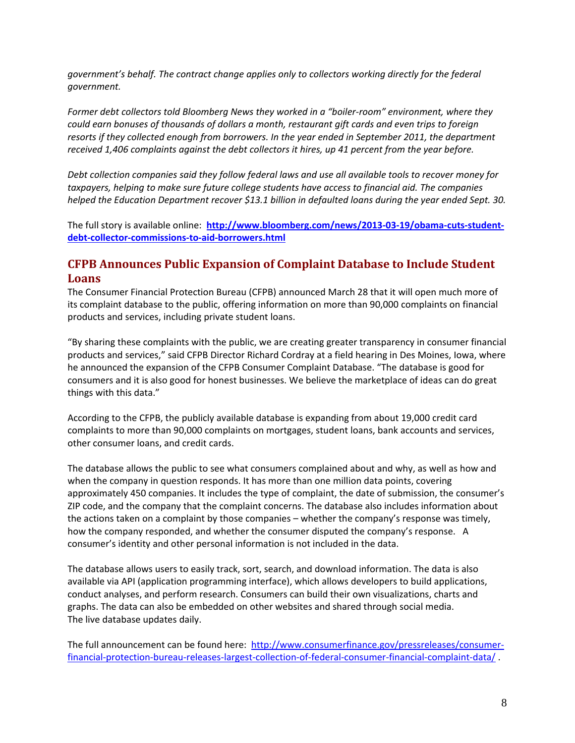*government's behalf. The contract change applies only to collectors working directly for the federal government.* 

*Former debt collectors told Bloomberg News they worked in a "boiler-room" environment, where they could earn bonuses of thousands of dollars a month, restaurant gift cards and even trips to foreign resorts if they collected enough from borrowers. In the year ended in September 2011, the department received 1,406 complaints against the debt collectors it hires, up 41 percent from the year before.* 

*Debt collection companies said they follow federal laws and use all available tools to recover money for taxpayers, helping to make sure future college students have access to financial aid. The companies helped the Education Department recover \$13.1 billion in defaulted loans during the year ended Sept. 30.* 

The full story is available online: **[http://www.bloomberg.com/news/2013-03-19/obama-cuts-student](http://www.bloomberg.com/news/2013-03-19/obama-cuts-student-debt-collector-commissions-to-aid-borrowers.html)[debt-collector-commissions-to-aid-borrowers.html](http://www.bloomberg.com/news/2013-03-19/obama-cuts-student-debt-collector-commissions-to-aid-borrowers.html)**

## <span id="page-7-0"></span>**CFPB Announces Public Expansion of Complaint Database to Include Student Loans**

The Consumer Financial Protection Bureau (CFPB) announced March 28 that it will open much more of its complaint database to the public, offering information on more than 90,000 complaints on financial products and services, including private student loans.

"By sharing these complaints with the public, we are creating greater transparency in consumer financial products and services," said CFPB Director Richard Cordray at a field hearing in Des Moines, Iowa, where he announced the expansion of the CFPB Consumer Complaint Database. "The database is good for consumers and it is also good for honest businesses. We believe the marketplace of ideas can do great things with this data."

According to the CFPB, the publicly available database is expanding from about 19,000 credit card complaints to more than 90,000 complaints on mortgages, student loans, bank accounts and services, other consumer loans, and credit cards.

The database allows the public to see what consumers complained about and why, as well as how and when the company in question responds. It has more than one million data points, covering approximately 450 companies. It includes the type of complaint, the date of submission, the consumer's ZIP code, and the company that the complaint concerns. The database also includes information about the actions taken on a complaint by those companies – whether the company's response was timely, how the company responded, and whether the consumer disputed the company's response. A consumer's identity and other personal information is not included in the data.

The database allows users to easily track, sort, search, and download information. The data is also available via API (application programming interface), which allows developers to build applications, conduct analyses, and perform research. Consumers can build their own visualizations, charts and graphs. The data can also be embedded on other websites and shared through social media. The live database updates daily.

The full announcement can be found here: [http://www.consumerfinance.gov/pressreleases/consumer](http://www.consumerfinance.gov/pressreleases/consumer-financial-protection-bureau-releases-largest-collection-of-federal-consumer-financial-complaint-data/)[financial-protection-bureau-releases-largest-collection-of-federal-consumer-financial-complaint-data/](http://www.consumerfinance.gov/pressreleases/consumer-financial-protection-bureau-releases-largest-collection-of-federal-consumer-financial-complaint-data/) .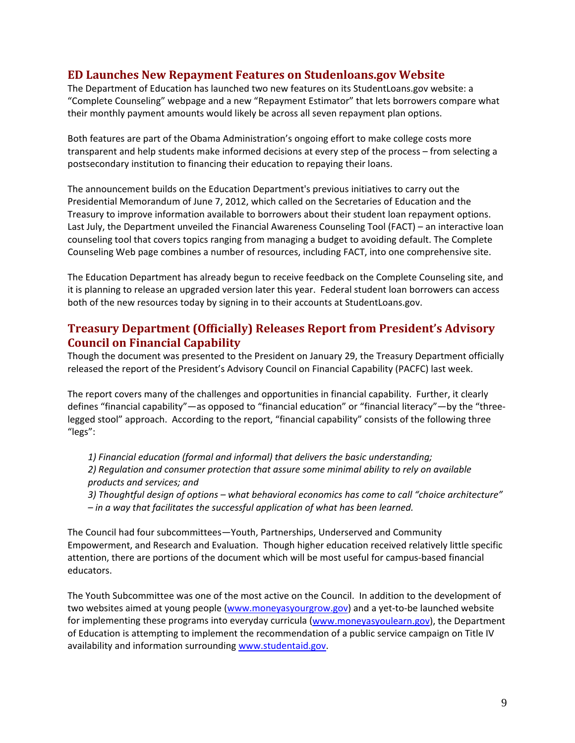#### <span id="page-8-0"></span>**ED Launches New Repayment Features on Studenloans.gov Website**

The Department of Education has launched two new features on its StudentLoans.gov website: a "Complete Counseling" webpage and a new "Repayment Estimator" that lets borrowers compare what their monthly payment amounts would likely be across all seven repayment plan options.

Both features are part of the Obama Administration's ongoing effort to make college costs more transparent and help students make informed decisions at every step of the process – from selecting a postsecondary institution to financing their education to repaying their loans.

The announcement builds on the Education Department's previous initiatives to carry out the Presidential Memorandum of June 7, 2012, which called on the Secretaries of Education and the Treasury to improve information available to borrowers about their student loan repayment options. Last July, the Department unveiled the Financial Awareness Counseling Tool (FACT) – an interactive loan counseling tool that covers topics ranging from managing a budget to avoiding default. The Complete Counseling Web page combines a number of resources, including FACT, into one comprehensive site.

The Education Department has already begun to receive feedback on the Complete Counseling site, and it is planning to release an upgraded version later this year. Federal student loan borrowers can access both of the new resources today by signing in to their accounts at StudentLoans.gov.

### <span id="page-8-1"></span>**Treasury Department (Officially) Releases Report from President's Advisory Council on Financial Capability**

Though the document was presented to the President on January 29, the Treasury Department officially released the report of the President's Advisory Council on Financial Capability (PACFC) last week.

The report covers many of the challenges and opportunities in financial capability. Further, it clearly defines "financial capability"—as opposed to "financial education" or "financial literacy"—by the "threelegged stool" approach. According to the report, "financial capability" consists of the following three "legs":

*1) Financial education (formal and informal) that delivers the basic understanding; 2) Regulation and consumer protection that assure some minimal ability to rely on available products and services; and* 

*3) Thoughtful design of options – what behavioral economics has come to call "choice architecture" – in a way that facilitates the successful application of what has been learned.* 

The Council had four subcommittees—Youth, Partnerships, Underserved and Community Empowerment, and Research and Evaluation. Though higher education received relatively little specific attention, there are portions of the document which will be most useful for campus-based financial educators.

The Youth Subcommittee was one of the most active on the Council. In addition to the development of two websites aimed at young people [\(www.moneyasyourgrow.gov\)](http://www.moneyasyourgrow.gov/) and a yet-to-be launched website for implementing these programs into everyday curricula [\(www.moneyasyoulearn.gov\)](http://www.moneyasyoulearn.gov/), the Department of Education is attempting to implement the recommendation of a public service campaign on Title IV availability and information surrounding [www.studentaid.gov.](http://www.studentaid.gov/)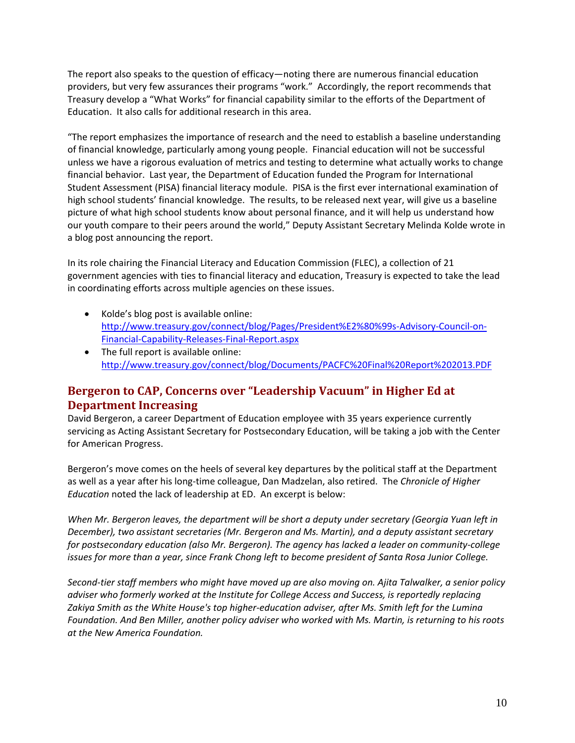The report also speaks to the question of efficacy—noting there are numerous financial education providers, but very few assurances their programs "work." Accordingly, the report recommends that Treasury develop a "What Works" for financial capability similar to the efforts of the Department of Education. It also calls for additional research in this area.

"The report emphasizes the importance of research and the need to establish a baseline understanding of financial knowledge, particularly among young people. Financial education will not be successful unless we have a rigorous evaluation of metrics and testing to determine what actually works to change financial behavior. Last year, the Department of Education funded the Program for International Student Assessment (PISA) financial literacy module. PISA is the first ever international examination of high school students' financial knowledge. The results, to be released next year, will give us a baseline picture of what high school students know about personal finance, and it will help us understand how our youth compare to their peers around the world," Deputy Assistant Secretary Melinda Kolde wrote in a blog post announcing the report.

In its role chairing the Financial Literacy and Education Commission (FLEC), a collection of 21 government agencies with ties to financial literacy and education, Treasury is expected to take the lead in coordinating efforts across multiple agencies on these issues.

- Kolde's blog post is available online: [http://www.treasury.gov/connect/blog/Pages/President%E2%80%99s-Advisory-Council-on-](http://www.treasury.gov/connect/blog/Pages/President%E2%80%99s-Advisory-Council-on-Financial-Capability-Releases-Final-Report.aspx)[Financial-Capability-Releases-Final-Report.aspx](http://www.treasury.gov/connect/blog/Pages/President%E2%80%99s-Advisory-Council-on-Financial-Capability-Releases-Final-Report.aspx)
- The full report is available online: <http://www.treasury.gov/connect/blog/Documents/PACFC%20Final%20Report%202013.PDF>

# <span id="page-9-0"></span>**Bergeron to CAP, Concerns over "Leadership Vacuum" in Higher Ed at Department Increasing**

David Bergeron, a career Department of Education employee with 35 years experience currently servicing as Acting Assistant Secretary for Postsecondary Education, will be taking a job with the Center for American Progress.

Bergeron's move comes on the heels of several key departures by the political staff at the Department as well as a year after his long-time colleague, Dan Madzelan, also retired. The *Chronicle of Higher Education* noted the lack of leadership at ED. An excerpt is below:

*When Mr. Bergeron leaves, the department will be short a deputy under secretary (Georgia Yuan left in December), two assistant secretaries (Mr. Bergeron and Ms. Martin), and a deputy assistant secretary for postsecondary education (also Mr. Bergeron). The agency has lacked a leader on community-college issues for more than a year, since Frank Chong left to become president of Santa Rosa Junior College.*

*Second-tier staff members who might have moved up are also moving on. Ajita Talwalker, a senior policy adviser who formerly worked at the Institute for College Access and Success, is reportedly replacing Zakiya Smith as the White House's top higher-education adviser, after Ms. Smith left for the Lumina Foundation. And Ben Miller, another policy adviser who worked with Ms. Martin, is returning to his roots at the New America Foundation.*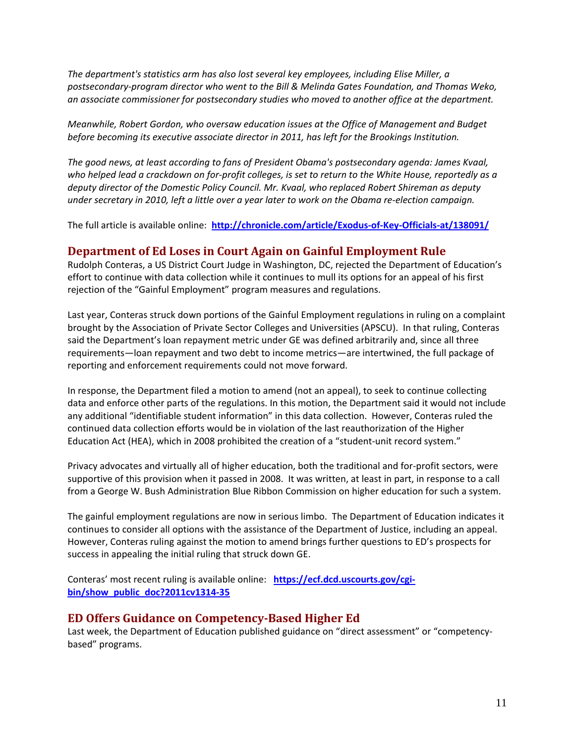*The department's statistics arm has also lost several key employees, including Elise Miller, a postsecondary-program director who went to the Bill & Melinda Gates Foundation, and Thomas Weko, an associate commissioner for postsecondary studies who moved to another office at the department.*

*Meanwhile, Robert Gordon, who oversaw education issues at the Office of Management and Budget before becoming its executive associate director in 2011, has left for the Brookings Institution.*

*The good news, at least according to fans of President Obama's postsecondary agenda: James Kvaal, who helped lead a crackdown on for-profit colleges, is set to return to the White House, reportedly as a deputy director of the Domestic Policy Council. Mr. Kvaal, who replaced Robert Shireman as deputy under secretary in 2010, left a little over a year later to work on the Obama re-election campaign.*

The full article is available online: **<http://chronicle.com/article/Exodus-of-Key-Officials-at/138091/>**

### <span id="page-10-0"></span>**Department of Ed Loses in Court Again on Gainful Employment Rule**

Rudolph Conteras, a US District Court Judge in Washington, DC, rejected the Department of Education's effort to continue with data collection while it continues to mull its options for an appeal of his first rejection of the "Gainful Employment" program measures and regulations.

Last year, Conteras struck down portions of the Gainful Employment regulations in ruling on a complaint brought by the Association of Private Sector Colleges and Universities (APSCU). In that ruling, Conteras said the Department's loan repayment metric under GE was defined arbitrarily and, since all three requirements—loan repayment and two debt to income metrics—are intertwined, the full package of reporting and enforcement requirements could not move forward.

In response, the Department filed a motion to amend (not an appeal), to seek to continue collecting data and enforce other parts of the regulations. In this motion, the Department said it would not include any additional "identifiable student information" in this data collection. However, Conteras ruled the continued data collection efforts would be in violation of the last reauthorization of the Higher Education Act (HEA), which in 2008 prohibited the creation of a "student-unit record system."

Privacy advocates and virtually all of higher education, both the traditional and for-profit sectors, were supportive of this provision when it passed in 2008. It was written, at least in part, in response to a call from a George W. Bush Administration Blue Ribbon Commission on higher education for such a system.

The gainful employment regulations are now in serious limbo. The Department of Education indicates it continues to consider all options with the assistance of the Department of Justice, including an appeal. However, Conteras ruling against the motion to amend brings further questions to ED's prospects for success in appealing the initial ruling that struck down GE.

Conteras' most recent ruling is available online: **[https://ecf.dcd.uscourts.gov/cgi](https://ecf.dcd.uscourts.gov/cgi-bin/show_public_doc?2011cv1314-35)[bin/show\\_public\\_doc?2011cv1314-35](https://ecf.dcd.uscourts.gov/cgi-bin/show_public_doc?2011cv1314-35)**

#### <span id="page-10-1"></span>**ED Offers Guidance on Competency-Based Higher Ed**

Last week, the Department of Education published guidance on "direct assessment" or "competencybased" programs.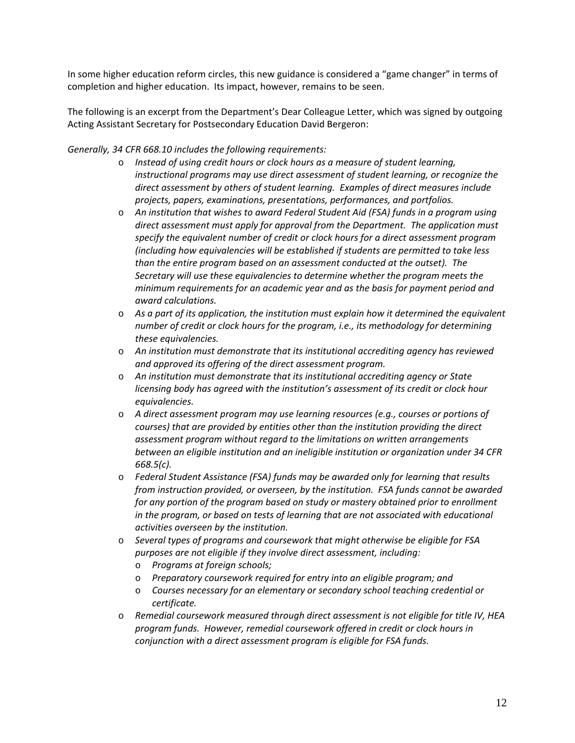In some higher education reform circles, this new guidance is considered a "game changer" in terms of completion and higher education. Its impact, however, remains to be seen.

The following is an excerpt from the Department's Dear Colleague Letter, which was signed by outgoing Acting Assistant Secretary for Postsecondary Education David Bergeron:

#### *Generally, 34 CFR 668.10 includes the following requirements:*

- o *Instead of using credit hours or clock hours as a measure of student learning, instructional programs may use direct assessment of student learning, or recognize the direct assessment by others of student learning. Examples of direct measures include projects, papers, examinations, presentations, performances, and portfolios.*
- o *An institution that wishes to award Federal Student Aid (FSA) funds in a program using direct assessment must apply for approval from the Department. The application must specify the equivalent number of credit or clock hours for a direct assessment program (including how equivalencies will be established if students are permitted to take less than the entire program based on an assessment conducted at the outset). The Secretary will use these equivalencies to determine whether the program meets the minimum requirements for an academic year and as the basis for payment period and award calculations.*
- o *As a part of its application, the institution must explain how it determined the equivalent number of credit or clock hours for the program, i.e., its methodology for determining these equivalencies.*
- o *An institution must demonstrate that its institutional accrediting agency has reviewed and approved its offering of the direct assessment program.*
- o *An institution must demonstrate that its institutional accrediting agency or State licensing body has agreed with the institution's assessment of its credit or clock hour equivalencies.*
- o *A direct assessment program may use learning resources (e.g., courses or portions of courses) that are provided by entities other than the institution providing the direct assessment program without regard to the limitations on written arrangements between an eligible institution and an ineligible institution or organization under 34 CFR 668.5(c).*
- o *Federal Student Assistance (FSA) funds may be awarded only for learning that results from instruction provided, or overseen, by the institution. FSA funds cannot be awarded for any portion of the program based on study or mastery obtained prior to enrollment in the program, or based on tests of learning that are not associated with educational activities overseen by the institution.*
- o *Several types of programs and coursework that might otherwise be eligible for FSA purposes are not eligible if they involve direct assessment, including:*
	- o *Programs at foreign schools;*
	- o *Preparatory coursework required for entry into an eligible program; and*
	- o *Courses necessary for an elementary or secondary school teaching credential or certificate.*
- o *Remedial coursework measured through direct assessment is not eligible for title IV, HEA program funds. However, remedial coursework offered in credit or clock hours in conjunction with a direct assessment program is eligible for FSA funds.*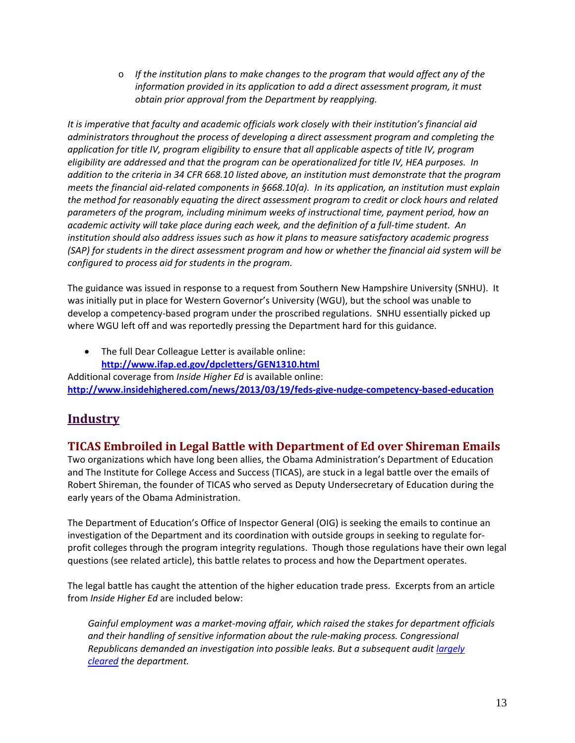o *If the institution plans to make changes to the program that would affect any of the information provided in its application to add a direct assessment program, it must obtain prior approval from the Department by reapplying.*

*It is imperative that faculty and academic officials work closely with their institution's financial aid administrators throughout the process of developing a direct assessment program and completing the application for title IV, program eligibility to ensure that all applicable aspects of title IV, program eligibility are addressed and that the program can be operationalized for title IV, HEA purposes. In addition to the criteria in 34 CFR 668.10 listed above, an institution must demonstrate that the program meets the financial aid-related components in §668.10(a). In its application, an institution must explain the method for reasonably equating the direct assessment program to credit or clock hours and related parameters of the program, including minimum weeks of instructional time, payment period, how an academic activity will take place during each week, and the definition of a full-time student. An institution should also address issues such as how it plans to measure satisfactory academic progress (SAP) for students in the direct assessment program and how or whether the financial aid system will be configured to process aid for students in the program.*

The guidance was issued in response to a request from Southern New Hampshire University (SNHU). It was initially put in place for Western Governor's University (WGU), but the school was unable to develop a competency-based program under the proscribed regulations. SNHU essentially picked up where WGU left off and was reportedly pressing the Department hard for this guidance.

The full Dear Colleague Letter is available online: **<http://www.ifap.ed.gov/dpcletters/GEN1310.html>** Additional coverage from *Inside Higher Ed* is available online: **<http://www.insidehighered.com/news/2013/03/19/feds-give-nudge-competency-based-education>**

# **Industry**

## <span id="page-12-0"></span>**TICAS Embroiled in Legal Battle with Department of Ed over Shireman Emails**

Two organizations which have long been allies, the Obama Administration's Department of Education and The Institute for College Access and Success (TICAS), are stuck in a legal battle over the emails of Robert Shireman, the founder of TICAS who served as Deputy Undersecretary of Education during the early years of the Obama Administration.

The Department of Education's Office of Inspector General (OIG) is seeking the emails to continue an investigation of the Department and its coordination with outside groups in seeking to regulate forprofit colleges through the program integrity regulations. Though those regulations have their own legal questions (see related article), this battle relates to process and how the Department operates.

The legal battle has caught the attention of the higher education trade press. Excerpts from an article from *Inside Higher Ed* are included below:

*Gainful employment was a market-moving affair, which raised the stakes for department officials and their handling of sensitive information about the rule-making process. Congressional Republicans demanded an investigation into possible leaks. But a subsequent audit [largely](http://www.insidehighered.com/news/2012/06/25/audit-largely-clears-education-department-gainful-employment-process)  [cleared](http://www.insidehighered.com/news/2012/06/25/audit-largely-clears-education-department-gainful-employment-process) the department.*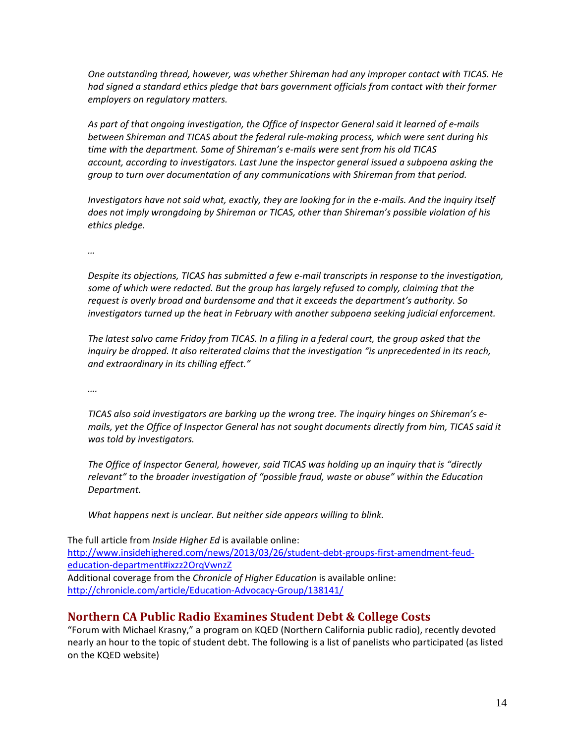*One outstanding thread, however, was whether Shireman had any improper contact with TICAS. He*  had signed a standard ethics pledge that bars government officials from contact with their former *employers on regulatory matters.*

*As part of that ongoing investigation, the Office of Inspector General said it learned of e-mails between Shireman and TICAS about the federal rule-making process, which were sent during his time with the department. Some of Shireman's e-mails were sent from his old TICAS account, according to investigators. Last June the inspector general issued a subpoena asking the group to turn over documentation of any communications with Shireman from that period.*

*Investigators have not said what, exactly, they are looking for in the e-mails. And the inquiry itself does not imply wrongdoing by Shireman or TICAS, other than Shireman's possible violation of his ethics pledge.*

*…*

*Despite its objections, TICAS has submitted a few e-mail transcripts in response to the investigation, some of which were redacted. But the group has largely refused to comply, claiming that the request is overly broad and burdensome and that it exceeds the department's authority. So investigators turned up the heat in February with another subpoena seeking judicial enforcement.*

*The latest salvo came Friday from TICAS. In a filing in a federal court, the group asked that the inquiry be dropped. It also reiterated claims that the investigation "is unprecedented in its reach, and extraordinary in its chilling effect."*

*….*

*TICAS also said investigators are barking up the wrong tree. The inquiry hinges on Shireman's emails, yet the Office of Inspector General has not sought documents directly from him, TICAS said it was told by investigators.*

*The Office of Inspector General, however, said TICAS was holding up an inquiry that is "directly relevant" to the broader investigation of "possible fraud, waste or abuse" within the Education Department.*

*What happens next is unclear. But neither side appears willing to blink.*

The full article from *Inside Higher Ed* is available online: [http://www.insidehighered.com/news/2013/03/26/student-debt-groups-first-amendment-feud](http://www.insidehighered.com/news/2013/03/26/student-debt-groups-first-amendment-feud-education-department#ixzz2OrqVwnzZ)[education-department#ixzz2OrqVwnzZ](http://www.insidehighered.com/news/2013/03/26/student-debt-groups-first-amendment-feud-education-department#ixzz2OrqVwnzZ) Additional coverage from the *Chronicle of Higher Education* is available online: <http://chronicle.com/article/Education-Advocacy-Group/138141/>

## <span id="page-13-0"></span>**Northern CA Public Radio Examines Student Debt & College Costs**

"Forum with Michael Krasny," a program on KQED (Northern California public radio), recently devoted nearly an hour to the topic of student debt. The following is a list of panelists who participated (as listed on the KQED website)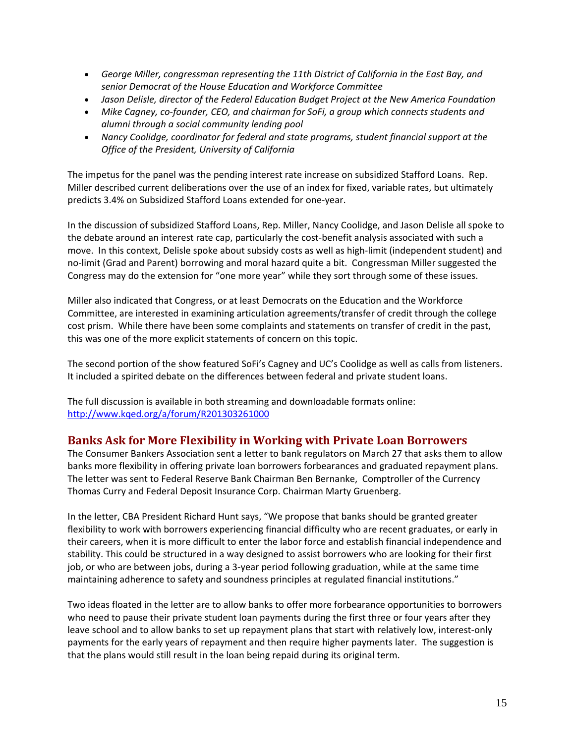- *George Miller, congressman representing the 11th District of California in the East Bay, and senior Democrat of the House Education and Workforce Committee*
- *Jason Delisle, director of the Federal Education Budget Project at the New America Foundation*
- *Mike Cagney, co-founder, CEO, and chairman for SoFi, a group which connects students and alumni through a social community lending pool*
- *Nancy Coolidge, coordinator for federal and state programs, student financial support at the Office of the President, University of California*

The impetus for the panel was the pending interest rate increase on subsidized Stafford Loans. Rep. Miller described current deliberations over the use of an index for fixed, variable rates, but ultimately predicts 3.4% on Subsidized Stafford Loans extended for one-year.

In the discussion of subsidized Stafford Loans, Rep. Miller, Nancy Coolidge, and Jason Delisle all spoke to the debate around an interest rate cap, particularly the cost-benefit analysis associated with such a move. In this context, Delisle spoke about subsidy costs as well as high-limit (independent student) and no-limit (Grad and Parent) borrowing and moral hazard quite a bit. Congressman Miller suggested the Congress may do the extension for "one more year" while they sort through some of these issues.

Miller also indicated that Congress, or at least Democrats on the Education and the Workforce Committee, are interested in examining articulation agreements/transfer of credit through the college cost prism. While there have been some complaints and statements on transfer of credit in the past, this was one of the more explicit statements of concern on this topic.

The second portion of the show featured SoFi's Cagney and UC's Coolidge as well as calls from listeners. It included a spirited debate on the differences between federal and private student loans.

The full discussion is available in both streaming and downloadable formats online: <http://www.kqed.org/a/forum/R201303261000>

### <span id="page-14-0"></span>**Banks Ask for More Flexibility in Working with Private Loan Borrowers**

The Consumer Bankers Association sent a letter to bank regulators on March 27 that asks them to allow banks more flexibility in offering private loan borrowers forbearances and graduated repayment plans. The letter was sent to Federal Reserve Bank Chairman Ben Bernanke, Comptroller of the Currency Thomas Curry and Federal Deposit Insurance Corp. Chairman Marty Gruenberg.

In the letter, CBA President Richard Hunt says, "We propose that banks should be granted greater flexibility to work with borrowers experiencing financial difficulty who are recent graduates, or early in their careers, when it is more difficult to enter the labor force and establish financial independence and stability. This could be structured in a way designed to assist borrowers who are looking for their first job, or who are between jobs, during a 3-year period following graduation, while at the same time maintaining adherence to safety and soundness principles at regulated financial institutions."

Two ideas floated in the letter are to allow banks to offer more forbearance opportunities to borrowers who need to pause their private student loan payments during the first three or four years after they leave school and to allow banks to set up repayment plans that start with relatively low, interest-only payments for the early years of repayment and then require higher payments later. The suggestion is that the plans would still result in the loan being repaid during its original term.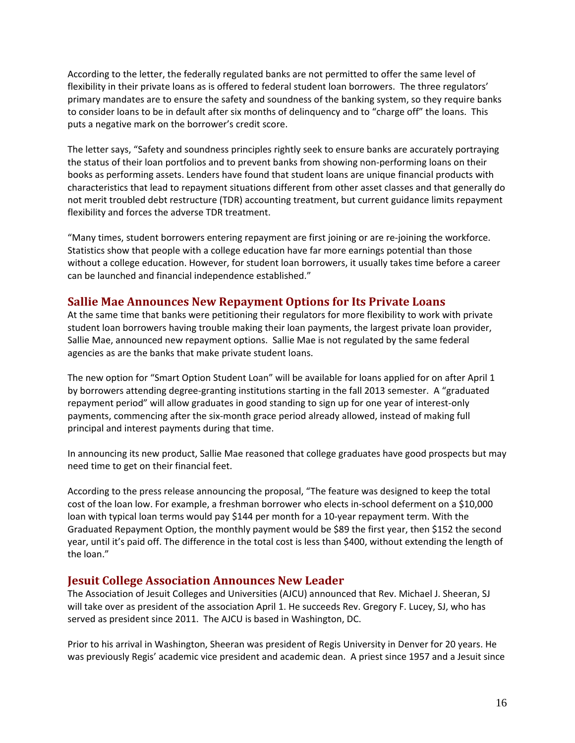According to the letter, the federally regulated banks are not permitted to offer the same level of flexibility in their private loans as is offered to federal student loan borrowers. The three regulators' primary mandates are to ensure the safety and soundness of the banking system, so they require banks to consider loans to be in default after six months of delinquency and to "charge off" the loans. This puts a negative mark on the borrower's credit score.

The letter says, "Safety and soundness principles rightly seek to ensure banks are accurately portraying the status of their loan portfolios and to prevent banks from showing non-performing loans on their books as performing assets. Lenders have found that student loans are unique financial products with characteristics that lead to repayment situations different from other asset classes and that generally do not merit troubled debt restructure (TDR) accounting treatment, but current guidance limits repayment flexibility and forces the adverse TDR treatment.

"Many times, student borrowers entering repayment are first joining or are re-joining the workforce. Statistics show that people with a college education have far more earnings potential than those without a college education. However, for student loan borrowers, it usually takes time before a career can be launched and financial independence established."

### <span id="page-15-0"></span>**Sallie Mae Announces New Repayment Options for Its Private Loans**

At the same time that banks were petitioning their regulators for more flexibility to work with private student loan borrowers having trouble making their loan payments, the largest private loan provider, Sallie Mae, announced new repayment options. Sallie Mae is not regulated by the same federal agencies as are the banks that make private student loans.

The new option for "Smart Option Student Loan" will be available for loans applied for on after April 1 by borrowers attending degree-granting institutions starting in the fall 2013 semester. A "graduated repayment period" will allow graduates in good standing to sign up for one year of interest-only payments, commencing after the six-month grace period already allowed, instead of making full principal and interest payments during that time.

In announcing its new product, Sallie Mae reasoned that college graduates have good prospects but may need time to get on their financial feet.

According to the press release announcing the proposal, "The feature was designed to keep the total cost of the loan low. For example, a freshman borrower who elects in-school deferment on a \$10,000 loan with typical loan terms would pay \$144 per month for a 10-year repayment term. With the Graduated Repayment Option, the monthly payment would be \$89 the first year, then \$152 the second year, until it's paid off. The difference in the total cost is less than \$400, without extending the length of the loan."

### <span id="page-15-1"></span>**Jesuit College Association Announces New Leader**

The Association of Jesuit Colleges and Universities (AJCU) announced that Rev. Michael J. Sheeran, SJ will take over as president of the association April 1. He succeeds Rev. Gregory F. Lucey, SJ, who has served as president since 2011. The AJCU is based in Washington, DC.

Prior to his arrival in Washington, Sheeran was president of Regis University in Denver for 20 years. He was previously Regis' academic vice president and academic dean. A priest since 1957 and a Jesuit since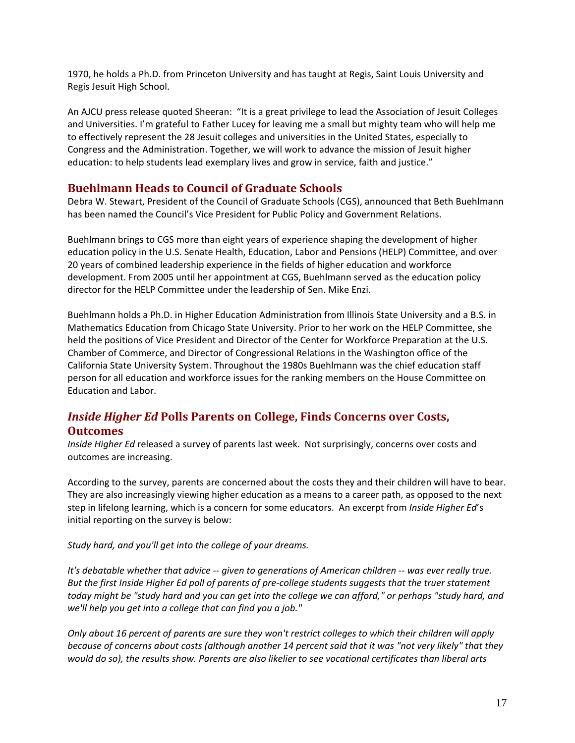1970, he holds a Ph.D. from Princeton University and has taught at Regis, Saint Louis University and Regis Jesuit High School.

An AJCU press release quoted Sheeran: "It is a great privilege to lead the Association of Jesuit Colleges and Universities. I'm grateful to Father Lucey for leaving me a small but mighty team who will help me to effectively represent the 28 Jesuit colleges and universities in the United States, especially to Congress and the Administration. Together, we will work to advance the mission of Jesuit higher education: to help students lead exemplary lives and grow in service, faith and justice."

#### <span id="page-16-0"></span>**Buehlmann Heads to Council of Graduate Schools**

Debra W. Stewart, President of the Council of Graduate Schools (CGS), announced that Beth Buehlmann has been named the Council's Vice President for Public Policy and Government Relations.

Buehlmann brings to CGS more than eight years of experience shaping the development of higher education policy in the U.S. Senate Health, Education, Labor and Pensions (HELP) Committee, and over 20 years of combined leadership experience in the fields of higher education and workforce development. From 2005 until her appointment at CGS, Buehlmann served as the education policy director for the HELP Committee under the leadership of Sen. Mike Enzi.

Buehlmann holds a Ph.D. in Higher Education Administration from Illinois State University and a B.S. in Mathematics Education from Chicago State University. Prior to her work on the HELP Committee, she held the positions of Vice President and Director of the Center for Workforce Preparation at the U.S. Chamber of Commerce, and Director of Congressional Relations in the Washington office of the California State University System. Throughout the 1980s Buehlmann was the chief education staff person for all education and workforce issues for the ranking members on the House Committee on Education and Labor.

# <span id="page-16-1"></span>*Inside Higher Ed* **Polls Parents on College, Finds Concerns over Costs, Outcomes**

*Inside Higher Ed* released a survey of parents last week. Not surprisingly, concerns over costs and outcomes are increasing.

According to the survey, parents are concerned about the costs they and their children will have to bear. They are also increasingly viewing higher education as a means to a career path, as opposed to the next step in lifelong learning, which is a concern for some educators. An excerpt from *Inside Higher Ed*'s initial reporting on the survey is below:

*Study hard, and you'll get into the college of your dreams.*

*It's debatable whether that advice -- given to generations of American children -- was ever really true. But the first Inside Higher Ed poll of parents of pre-college students suggests that the truer statement today might be "study hard and you can get into the college we can afford," or perhaps "study hard, and we'll help you get into a college that can find you a job."*

*Only about 16 percent of parents are sure they won't restrict colleges to which their children will apply because of concerns about costs (although another 14 percent said that it was "not very likely" that they would do so), the results show. Parents are also likelier to see vocational certificates than liberal arts*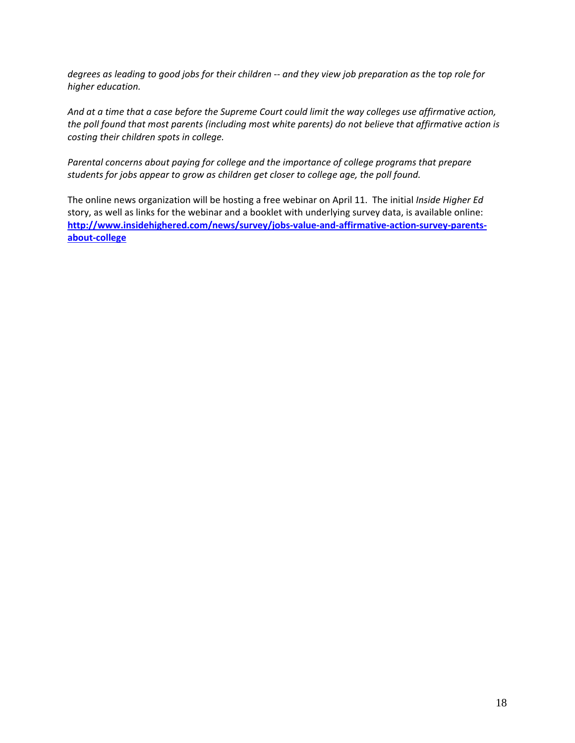*degrees as leading to good jobs for their children -- and they view job preparation as the top role for higher education.*

*And at a time that a case before the Supreme Court could limit the way colleges use affirmative action, the poll found that most parents (including most white parents) do not believe that affirmative action is costing their children spots in college.*

*Parental concerns about paying for college and the importance of college programs that prepare students for jobs appear to grow as children get closer to college age, the poll found.*

The online news organization will be hosting a free webinar on April 11. The initial *Inside Higher Ed*  story, as well as links for the webinar and a booklet with underlying survey data, is available online: **[http://www.insidehighered.com/news/survey/jobs-value-and-affirmative-action-survey-parents](http://www.insidehighered.com/news/survey/jobs-value-and-affirmative-action-survey-parents-about-college)[about-college](http://www.insidehighered.com/news/survey/jobs-value-and-affirmative-action-survey-parents-about-college)**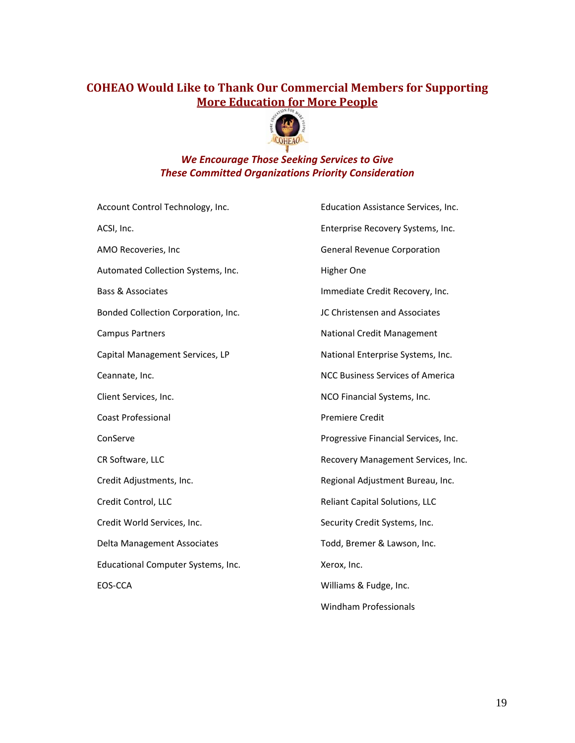# **COHEAO Would Like to Thank Our Commercial Members for Supporting More Education for More People**



### *We Encourage Those Seeking Services to Give These Committed Organizations Priority Consideration*

| Account Control Technology, Inc.    | Education Assistance Services, Inc.     |
|-------------------------------------|-----------------------------------------|
| ACSI, Inc.                          | Enterprise Recovery Systems, Inc.       |
| AMO Recoveries, Inc                 | <b>General Revenue Corporation</b>      |
| Automated Collection Systems, Inc.  | Higher One                              |
| <b>Bass &amp; Associates</b>        | Immediate Credit Recovery, Inc.         |
| Bonded Collection Corporation, Inc. | JC Christensen and Associates           |
| <b>Campus Partners</b>              | National Credit Management              |
| Capital Management Services, LP     | National Enterprise Systems, Inc.       |
| Ceannate, Inc.                      | <b>NCC Business Services of America</b> |
| Client Services, Inc.               | NCO Financial Systems, Inc.             |
| <b>Coast Professional</b>           | <b>Premiere Credit</b>                  |
| ConServe                            | Progressive Financial Services, Inc.    |
| CR Software, LLC                    | Recovery Management Services, Inc.      |
| Credit Adjustments, Inc.            | Regional Adjustment Bureau, Inc.        |
| Credit Control, LLC                 | Reliant Capital Solutions, LLC          |
| Credit World Services, Inc.         | Security Credit Systems, Inc.           |
| Delta Management Associates         | Todd, Bremer & Lawson, Inc.             |
| Educational Computer Systems, Inc.  | Xerox, Inc.                             |
| EOS-CCA                             | Williams & Fudge, Inc.                  |
|                                     | <b>Windham Professionals</b>            |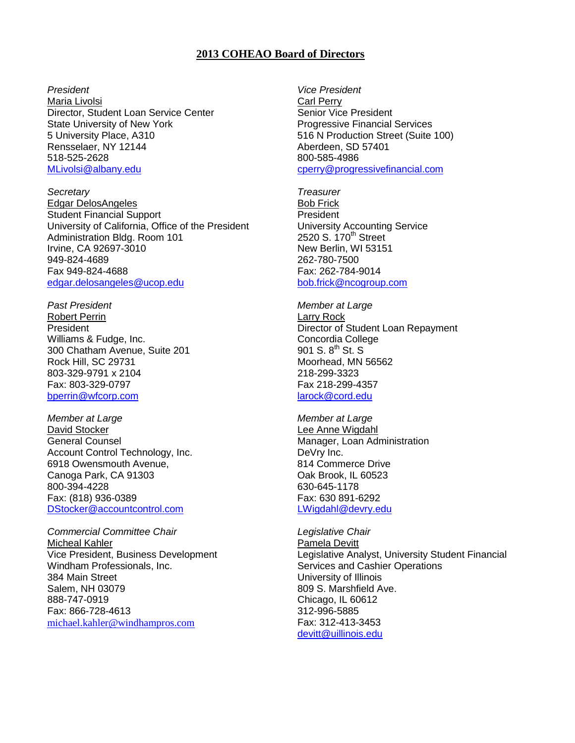#### **2013 COHEAO Board of Directors**

#### *President*

Maria Livolsi Director, Student Loan Service Center State University of New York 5 University Place, A310 Rensselaer, NY 12144 518-525-2628 [MLivolsi@albany.edu](mailto:MLivolsi@albany.edu)

*Secretary* Edgar DelosAngeles Student Financial Support University of California, Office of the President Administration Bldg. Room 101 Irvine, CA 92697-3010 949-824-4689 Fax 949-824-4688 [edgar.delosangeles@ucop.edu](mailto:edgar.delosangeles@ucop.edu)

*Past President* Robert Perrin President Williams & Fudge, Inc. 300 Chatham Avenue, Suite 201 Rock Hill, SC 29731 803-329-9791 x 2104 Fax: 803-329-0797 [bperrin@wfcorp.com](mailto:bperrin@wfcorp.com)

*Member at Large* David Stocker General Counsel Account Control Technology, Inc. 6918 Owensmouth Avenue, Canoga Park, CA 91303 800-394-4228 Fax: (818) 936-0389 [DStocker@accountcontrol.com](mailto:DStocker@accountcontrol.com)

*Commercial Committee Chair* Micheal Kahler Vice President, Business Development Windham Professionals, Inc. 384 Main Street Salem, NH 03079 888-747-0919 Fax: 866-728-4613 [michael.kahler@windhampros.com](mailto:michael.kahler@windhampros.com)

*Vice President*  Carl Perry Senior Vice President Progressive Financial Services 516 N Production Street (Suite 100) Aberdeen, SD 57401 800-585-4986 cperry@progressivefinancial.com

*Treasurer* Bob Frick President University Accounting Service 2520 S. 170<sup>th</sup> Street New Berlin, WI 53151 262-780-7500 Fax: 262-784-9014 [bob.frick@ncogroup.com](mailto:bob.frick@ncogroup.com)

*Member at Large* Larry Rock Director of Student Loan Repayment Concordia College 901 S.  $8^{th}$  St. S Moorhead, MN 56562 218-299-3323 Fax 218-299-4357 [larock@cord.edu](mailto:larock@cord.edu) 

*Member at Large* Lee Anne Wigdahl Manager, Loan Administration DeVry Inc. 814 Commerce Drive Oak Brook, IL 60523 630-645-1178 Fax: 630 891-6292 [LWigdahl@devry.edu](mailto:LWigdahl@devry.edu)

*Legislative Chair* Pamela Devitt Legislative Analyst, University Student Financial Services and Cashier Operations University of Illinois 809 S. Marshfield Ave. Chicago, IL 60612 312-996-5885 Fax: 312-413-3453 [devitt@uillinois.edu](mailto:devitt@uillinois.edu)